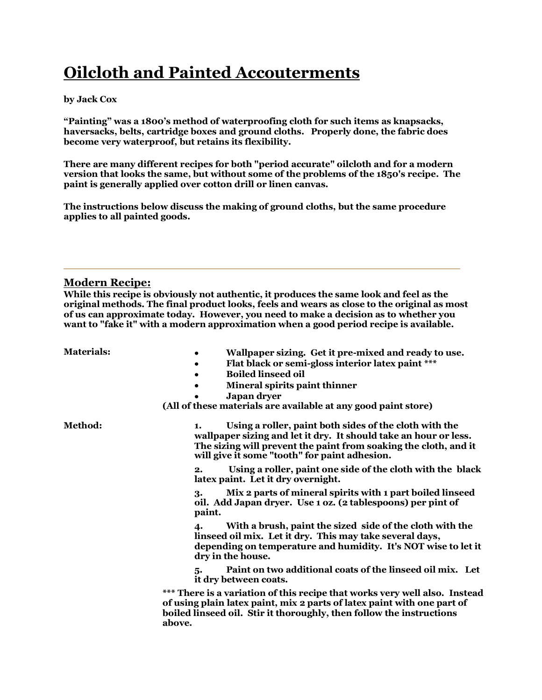# **Oilcloth and Painted Accouterments**

# **by Jack Cox**

**"Painting" was a 1800's method of waterproofing cloth for such items as knapsacks, haversacks, belts, cartridge boxes and ground cloths. Properly done, the fabric does become very waterproof, but retains its flexibility.**

**There are many different recipes for both "period accurate" oilcloth and for a modern version that looks the same, but without some of the problems of the 1850's recipe. The paint is generally applied over cotton drill or linen canvas.**

**The instructions below discuss the making of ground cloths, but the same procedure applies to all painted goods.** 

# **Modern Recipe:**

**While this recipe is obviously not authentic, it produces the same look and feel as the original methods. The final product looks, feels and wears as close to the original as most of us can approximate today. However, you need to make a decision as to whether you want to "fake it" with a modern approximation when a good period recipe is available.**

- **Materials: Wallpaper sizing. Get it pre-mixed and ready to use.**
	- $\bullet$ **Flat black or semi-gloss interior latex paint \*\*\***
	- **Boiled linseed oil**  $\bullet$
	- **Mineral spirits paint thinner**  $\bullet$ 
		- **Japan dryer**

**(All of these materials are available at any good paint store)**

**Method: 1. Using a roller, paint both sides of the cloth with the wallpaper sizing and let it dry. It should take an hour or less. The sizing will prevent the paint from soaking the cloth, and it will give it some "tooth" for paint adhesion.** 

> **2. Using a roller, paint one side of the cloth with the black latex paint. Let it dry overnight.**

**3. Mix 2 parts of mineral spirits with 1 part boiled linseed oil. Add Japan dryer. Use 1 oz. (2 tablespoons) per pint of paint.** 

**4. With a brush, paint the sized side of the cloth with the linseed oil mix. Let it dry. This may take several days, depending on temperature and humidity. It's NOT wise to let it dry in the house.** 

**5. Paint on two additional coats of the linseed oil mix. Let it dry between coats.**

**\*\*\* There is a variation of this recipe that works very well also. Instead of using plain latex paint, mix 2 parts of latex paint with one part of boiled linseed oil. Stir it thoroughly, then follow the instructions above.**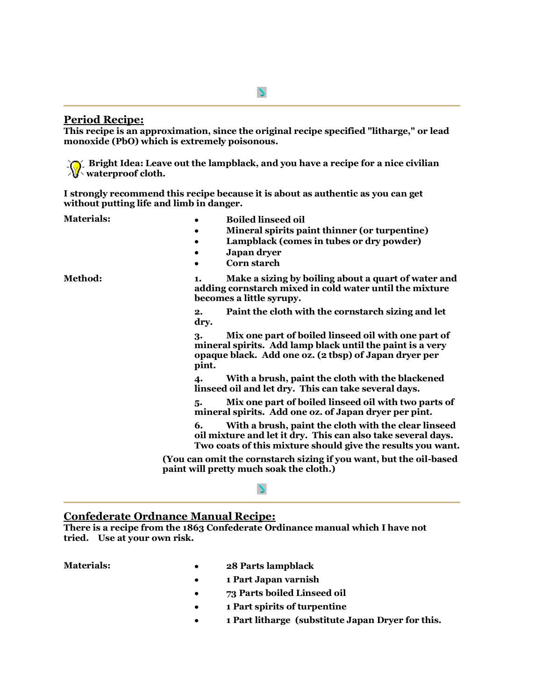# **Period Recipe:**

**This recipe is an approximation, since the original recipe specified "litharge," or lead monoxide (PbO) which is extremely poisonous.**

**Bright Idea: Leave out the lampblack, and you have a recipe for a nice civilian waterproof cloth.**

**I strongly recommend this recipe because it is about as authentic as you can get without putting life and limb in danger.**

- **Materials: CONFIDENT: Boiled linseed oil** 
	- **Mineral spirits paint thinner (or turpentine)**  $\bullet$
	- **Lampblack (comes in tubes or dry powder)**  $\bullet$
	- **Japan dryer**
	- **Corn starch**

**Method: 1. Make a sizing by boiling about a quart of water and adding cornstarch mixed in cold water until the mixture becomes a little syrupy.** 

> **2. Paint the cloth with the cornstarch sizing and let dry.**

**3. Mix one part of boiled linseed oil with one part of mineral spirits. Add lamp black until the paint is a very opaque black. Add one oz. (2 tbsp) of Japan dryer per pint.** 

**4. With a brush, paint the cloth with the blackened linseed oil and let dry. This can take several days.** 

**5. Mix one part of boiled linseed oil with two parts of mineral spirits. Add one oz. of Japan dryer per pint.** 

**6. With a brush, paint the cloth with the clear linseed oil mixture and let it dry. This can also take several days. Two coats of this mixture should give the results you want.** 

**(You can omit the cornstarch sizing if you want, but the oil-based paint will pretty much soak the cloth.)**

#### N

### **Confederate Ordnance Manual Recipe:**

**There is a recipe from the 1863 Confederate Ordinance manual which I have not tried. Use at your own risk.**

- **Materials: 28 Parts lampblack**
	- **1 Part Japan varnish**  $\bullet$
	- **73 Parts boiled Linseed oil**  $\bullet$
	- $\bullet$ **1 Part spirits of turpentine**
	- **1 Part litharge (substitute Japan Dryer for this.** $\bullet$